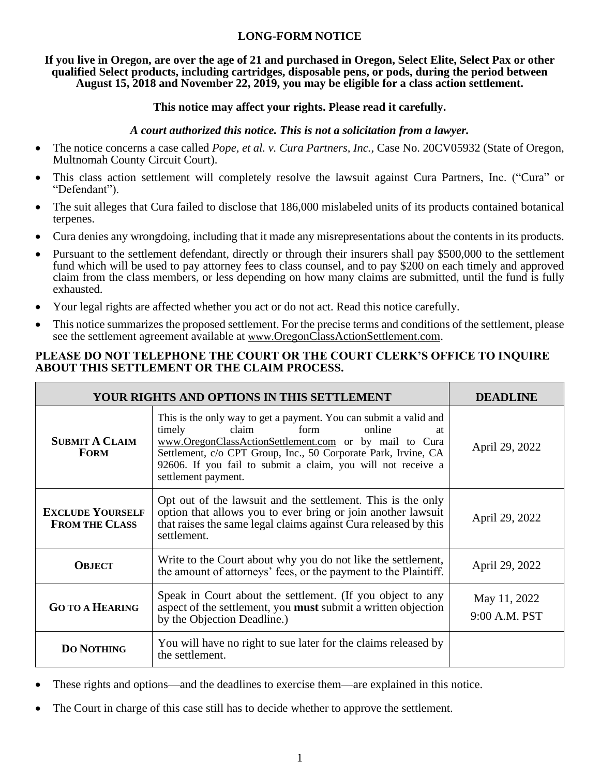## **LONG-FORM NOTICE**

**If you live in Oregon, are over the age of 21 and purchased in Oregon, Select Elite, Select Pax or other qualified Select products, including cartridges, disposable pens, or pods, during the period between August 15, 2018 and November 22, 2019, you may be eligible for a class action settlement.**

### **This notice may affect your rights. Please read it carefully.**

### *A court authorized this notice. This is not a solicitation from a lawyer.*

- The notice concerns a case called *Pope, et al. v. Cura Partners, Inc.*, Case No. 20CV05932 (State of Oregon, Multnomah County Circuit Court).
- This class action settlement will completely resolve the lawsuit against Cura Partners, Inc. ("Cura" or "Defendant").
- The suit alleges that Cura failed to disclose that 186,000 mislabeled units of its products contained botanical terpenes.
- Cura denies any wrongdoing, including that it made any misrepresentations about the contents in its products.
- Pursuant to the settlement defendant, directly or through their insurers shall pay \$500,000 to the settlement fund which will be used to pay attorney fees to class counsel, and to pay \$200 on each timely and approved claim from the class members, or less depending on how many claims are submitted, until the fund is fully exhausted.
- Your legal rights are affected whether you act or do not act. Read this notice carefully.
- This notice summarizes the proposed settlement. For the precise terms and conditions of the settlement, please see the settlement agreement available at www.OregonClassActionSettlement.com.

## **PLEASE DO NOT TELEPHONE THE COURT OR THE COURT CLERK'S OFFICE TO INQUIRE ABOUT THIS SETTLEMENT OR THE CLAIM PROCESS.**

| YOUR RIGHTS AND OPTIONS IN THIS SETTLEMENT       |                                                                                                                                                                                                                                                                                                                                 | DEADLINE                      |
|--------------------------------------------------|---------------------------------------------------------------------------------------------------------------------------------------------------------------------------------------------------------------------------------------------------------------------------------------------------------------------------------|-------------------------------|
| <b>SUBMIT A CLAIM</b><br><b>FORM</b>             | This is the only way to get a payment. You can submit a valid and<br>form<br>claim<br>online<br>timely<br>at<br>www.OregonClassActionSettlement.com or by mail to Cura<br>Settlement, c/o CPT Group, Inc., 50 Corporate Park, Irvine, CA<br>92606. If you fail to submit a claim, you will not receive a<br>settlement payment. | April 29, 2022                |
| <b>EXCLUDE YOURSELF</b><br><b>FROM THE CLASS</b> | Opt out of the lawsuit and the settlement. This is the only<br>option that allows you to ever bring or join another lawsuit<br>that raises the same legal claims against Cura released by this<br>settlement.                                                                                                                   | April 29, 2022                |
| <b>OBJECT</b>                                    | Write to the Court about why you do not like the settlement,<br>the amount of attorneys' fees, or the payment to the Plaintiff.                                                                                                                                                                                                 | April 29, 2022                |
| <b>GO TO A HEARING</b>                           | Speak in Court about the settlement. (If you object to any<br>aspect of the settlement, you <b>must</b> submit a written objection<br>by the Objection Deadline.)                                                                                                                                                               | May 11, 2022<br>9:00 A.M. PST |
| <b>DO NOTHING</b>                                | You will have no right to sue later for the claims released by<br>the settlement.                                                                                                                                                                                                                                               |                               |

- These rights and options—and the deadlines to exercise them—are explained in this notice.
- The Court in charge of this case still has to decide whether to approve the settlement.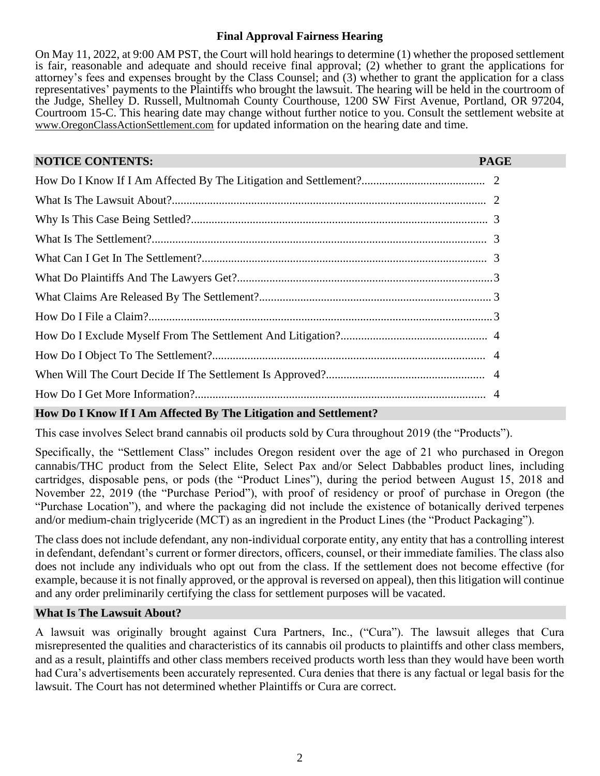## **Final Approval Fairness Hearing**

On May 11, 2022, at 9:00 AM PST, the Court will hold hearings to determine (1) whether the proposed settlement is fair, reasonable and adequate and should receive final approval; (2) whether to grant the applications for attorney's fees and expenses brought by the Class Counsel; and (3) whether to grant the application for a class representatives' payments to the Plaintiffs who brought the lawsuit. The hearing will be held in the courtroom of the Judge, Shelley D. Russell, Multnomah County Courthouse, 1200 SW First Avenue, Portland, OR 97204, Courtroom 15-C. This hearing date may change without further notice to you. Consult the settlement website at [www.OregonClassActionSettlement.com](http://www.oregonclassactionsettlement.com/) for updated information on the hearing date and time.

| <b>NOTICE CONTENTS:</b> | <b>PAGE</b> |
|-------------------------|-------------|
|                         |             |
|                         |             |
|                         |             |
|                         |             |
|                         |             |
|                         |             |
|                         |             |
|                         |             |
|                         |             |
|                         |             |
|                         |             |
|                         |             |

# **How Do I Know If I Am Affected By The Litigation and Settlement?**

This case involves Select brand cannabis oil products sold by Cura throughout 2019 (the "Products").

Specifically, the "Settlement Class" includes Oregon resident over the age of 21 who purchased in Oregon cannabis/THC product from the Select Elite, Select Pax and/or Select Dabbables product lines, including cartridges, disposable pens, or pods (the "Product Lines"), during the period between August 15, 2018 and November 22, 2019 (the "Purchase Period"), with proof of residency or proof of purchase in Oregon (the "Purchase Location"), and where the packaging did not include the existence of botanically derived terpenes and/or medium-chain triglyceride (MCT) as an ingredient in the Product Lines (the "Product Packaging").

The class does not include defendant, any non-individual corporate entity, any entity that has a controlling interest in defendant, defendant's current or former directors, officers, counsel, or their immediate families. The class also does not include any individuals who opt out from the class. If the settlement does not become effective (for example, because it is not finally approved, or the approval is reversed on appeal), then this litigation will continue and any order preliminarily certifying the class for settlement purposes will be vacated.

#### **What Is The Lawsuit About?**

A lawsuit was originally brought against Cura Partners, Inc., ("Cura"). The lawsuit alleges that Cura misrepresented the qualities and characteristics of its cannabis oil products to plaintiffs and other class members, and as a result, plaintiffs and other class members received products worth less than they would have been worth had Cura's advertisements been accurately represented. Cura denies that there is any factual or legal basis for the lawsuit. The Court has not determined whether Plaintiffs or Cura are correct.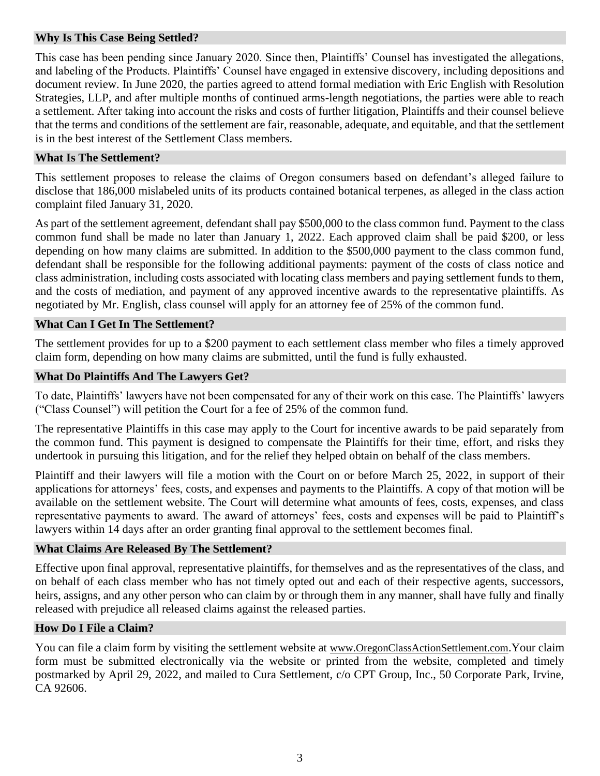## **Why Is This Case Being Settled?**

This case has been pending since January 2020. Since then, Plaintiffs' Counsel has investigated the allegations, and labeling of the Products. Plaintiffs' Counsel have engaged in extensive discovery, including depositions and document review. In June 2020, the parties agreed to attend formal mediation with Eric English with Resolution Strategies, LLP, and after multiple months of continued arms-length negotiations, the parties were able to reach a settlement. After taking into account the risks and costs of further litigation, Plaintiffs and their counsel believe that the terms and conditions of the settlement are fair, reasonable, adequate, and equitable, and that the settlement is in the best interest of the Settlement Class members.

#### **What Is The Settlement?**

This settlement proposes to release the claims of Oregon consumers based on defendant's alleged failure to disclose that 186,000 mislabeled units of its products contained botanical terpenes, as alleged in the class action complaint filed January 31, 2020.

As part of the settlement agreement, defendant shall pay \$500,000 to the class common fund. Payment to the class common fund shall be made no later than January 1, 2022. Each approved claim shall be paid \$200, or less depending on how many claims are submitted. In addition to the \$500,000 payment to the class common fund, defendant shall be responsible for the following additional payments: payment of the costs of class notice and class administration, including costs associated with locating class members and paying settlement funds to them, and the costs of mediation, and payment of any approved incentive awards to the representative plaintiffs. As negotiated by Mr. English, class counsel will apply for an attorney fee of 25% of the common fund.

#### **What Can I Get In The Settlement?**

The settlement provides for up to a \$200 payment to each settlement class member who files a timely approved claim form, depending on how many claims are submitted, until the fund is fully exhausted.

#### **What Do Plaintiffs And The Lawyers Get?**

To date, Plaintiffs' lawyers have not been compensated for any of their work on this case. The Plaintiffs' lawyers ("Class Counsel") will petition the Court for a fee of 25% of the common fund.

The representative Plaintiffs in this case may apply to the Court for incentive awards to be paid separately from the common fund. This payment is designed to compensate the Plaintiffs for their time, effort, and risks they undertook in pursuing this litigation, and for the relief they helped obtain on behalf of the class members.

Plaintiff and their lawyers will file a motion with the Court on or before March 25, 2022, in support of their applications for attorneys' fees, costs, and expenses and payments to the Plaintiffs. A copy of that motion will be available on the settlement website. The Court will determine what amounts of fees, costs, expenses, and class representative payments to award. The award of attorneys' fees, costs and expenses will be paid to Plaintiff's lawyers within 14 days after an order granting final approval to the settlement becomes final.

#### **What Claims Are Released By The Settlement?**

Effective upon final approval, representative plaintiffs, for themselves and as the representatives of the class, and on behalf of each class member who has not timely opted out and each of their respective agents, successors, heirs, assigns, and any other person who can claim by or through them in any manner, shall have fully and finally released with prejudice all released claims against the released parties.

#### **How Do I File a Claim?**

You can file a claim form by visiting the settlement website at [www.OregonClassActionSettlement.com](http://www.oregonclassactionsettlement.com/).Your claim form must be submitted electronically via the website or printed from the website, completed and timely postmarked by April 29, 2022, and mailed to Cura Settlement, c/o CPT Group, Inc., 50 Corporate Park, Irvine, CA 92606.